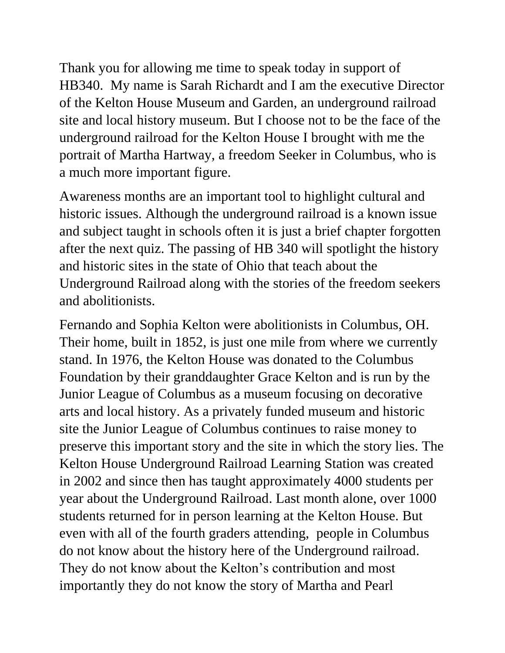Thank you for allowing me time to speak today in support of HB340. My name is Sarah Richardt and I am the executive Director of the Kelton House Museum and Garden, an underground railroad site and local history museum. But I choose not to be the face of the underground railroad for the Kelton House I brought with me the portrait of Martha Hartway, a freedom Seeker in Columbus, who is a much more important figure.

Awareness months are an important tool to highlight cultural and historic issues. Although the underground railroad is a known issue and subject taught in schools often it is just a brief chapter forgotten after the next quiz. The passing of HB 340 will spotlight the history and historic sites in the state of Ohio that teach about the Underground Railroad along with the stories of the freedom seekers and abolitionists.

Fernando and Sophia Kelton were abolitionists in Columbus, OH. Their home, built in 1852, is just one mile from where we currently stand. In 1976, the Kelton House was donated to the Columbus Foundation by their granddaughter Grace Kelton and is run by the Junior League of Columbus as a museum focusing on decorative arts and local history. As a privately funded museum and historic site the Junior League of Columbus continues to raise money to preserve this important story and the site in which the story lies. The Kelton House Underground Railroad Learning Station was created in 2002 and since then has taught approximately 4000 students per year about the Underground Railroad. Last month alone, over 1000 students returned for in person learning at the Kelton House. But even with all of the fourth graders attending, people in Columbus do not know about the history here of the Underground railroad. They do not know about the Kelton's contribution and most importantly they do not know the story of Martha and Pearl